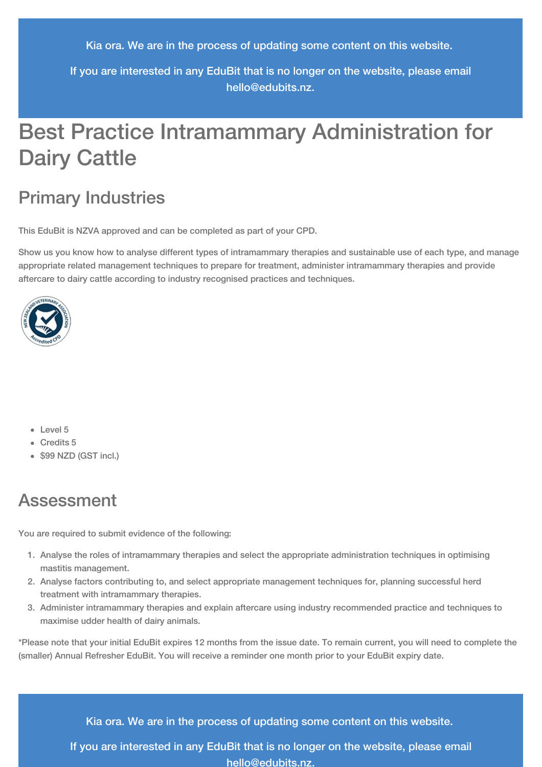Kia ora. We are in the process of updating some content on this website.

If you are interested in any EduBit that is no longer on the website, please email [hello@edubits.nz](mailto:hello@edubits.nz).

# Best Practice Intramammary Administration for Dairy Cattle

## Primary Industries

This EduBit is NZVA approved and can be completed as part of your CPD.

Show us you know how to analyse different types of intramammary therapies and sustainable use of each type, and manage appropriate related management techniques to prepare for treatment, administer intramammary therapies and provide aftercare to dairy cattle according to industry recognised practices and techniques.



- Level 5
- Credits 5
- \$99 NZD (GST incl.)

## Assessment

You are required to submit evidence of the following:

- 1. Analyse the roles of intramammary therapies and select the appropriate administration techniques in optimising mastitis management.
- 2. Analyse factors contributing to, and select appropriate management techniques for, planning successful herd treatment with intramammary therapies.
- 3. Administer intramammary therapies and explain aftercare using industry recommended practice and techniques to maximise udder health of dairy animals.

\*Please note that your initial EduBit expires 12 months from the issue date. To remain current, you will need to complete the (smaller) Annual Refresher EduBit. You will receive a reminder one month prior to your EduBit expiry date.

Kia ora. We are in the process of updating some content on this website.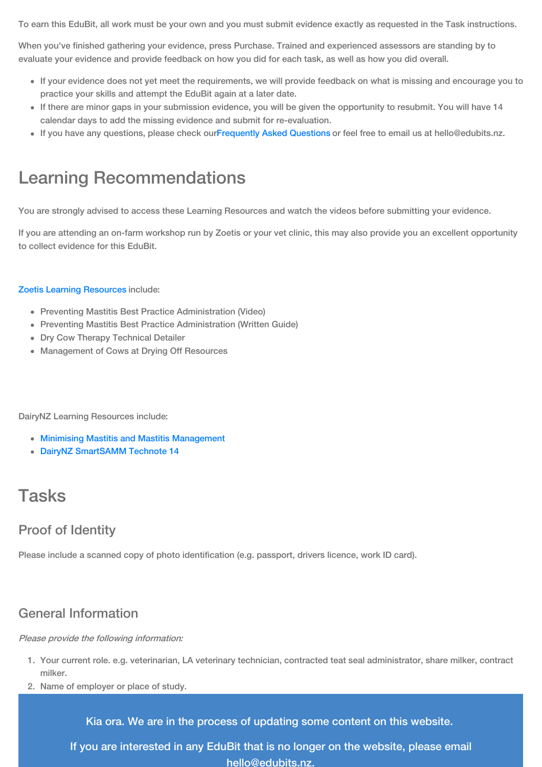To earn this EduBit, all work must be your own and you must submit evidence exactly as requested in the Task instructions.

When you've finished gathering your evidence, press Purchase. Trained and experienced assessors are standing by to evaluate your evidence and provide feedback on how you did for each task, as well as how you did overall.

- If your evidence does not yet meet the requirements, we will provide feedback on what is missing and encourage you to practice your skills and attempt the EduBit again at a later date.
- If there are minor gaps in your submission evidence, you will be given the opportunity to resubmit. You will have 14 calendar days to add the missing evidence and submit for re-evaluation.
- If you have any questions, please check our[Frequently](https://edubits.nz/help/faqs/) Asked Questions or feel free to email us at hello@edubits.nz.

## Learning Recommendations

You are strongly advised to access these Learning Resources and watch the videos before submitting your evidence.

If you are attending an on-farm workshop run by Zoetis or your vet clinic, this may also provide you an excellent opportunity to collect evidence for this EduBit.

#### Zoetis Learning [Resources](https://www.zoetis.co.nz/livestocksolutions/dairywellness/preventing-mastisis/downloadable-resources.aspx) include:

- Preventing Mastitis Best Practice Administration (Video)
- Preventing Mastitis Best Practice Administration (Written Guide)
- Dry Cow Therapy Technical Detailer
- Management of Cows at Drying Off Resources

#### DairyNZ Learning Resources include:

- Minimising Mastitis and Mastitis [Management](https://www.dairynz.co.nz/animal/cow-health/mastitis/)
- DairyNZ [SmartSAMM](https://www.dairynz.co.nz/animal/cow-health/mastitis/tools-and-resources/guidelines-and-technotes/technote-14) Technote 14

## Tasks

## Proof of Identity

Please include a scanned copy of photo identification (e.g. passport, drivers licence, work ID card).

### General Information

Please provide the following information:

- 1. Your current role. e.g. veterinarian, LA veterinary technician, contracted teat seal administrator, share milker, contract milker.
- 2. Name of employer or place of study.

Kia ora. We are in the process of updating some content on this website.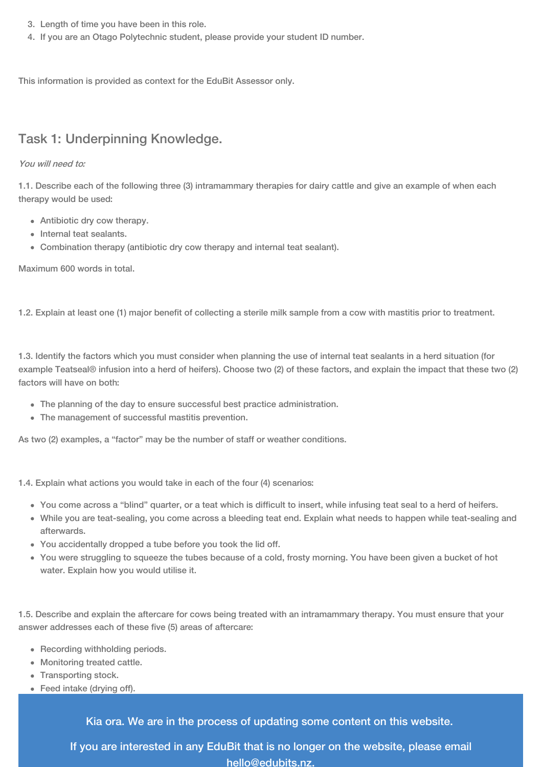- 3. Length of time you have been in this role.
- 4. If you are an Otago Polytechnic student, please provide your student ID number.

This information is provided as context for the EduBit Assessor only.

## Task 1: Underpinning Knowledge.

### You will need to:

1.1. Describe each of the following three (3) intramammary therapies for dairy cattle and give an example of when each therapy would be used:

- Antibiotic dry cow therapy.
- Internal teat sealants.
- Combination therapy (antibiotic dry cow therapy and internal teat sealant).

Maximum 600 words in total.

1.2. Explain at least one (1) major benefit of collecting a sterile milk sample from a cow with mastitis prior to treatment.

1.3. Identify the factors which you must consider when planning the use of internal teat sealants in a herd situation (for example Teatseal® infusion into a herd of heifers). Choose two (2) of these factors, and explain the impact that these two (2) factors will have on both:

- The planning of the day to ensure successful best practice administration.
- The management of successful mastitis prevention.

As two (2) examples, a "factor" may be the number of staff or weather conditions.

1.4. Explain what actions you would take in each of the four (4) scenarios:

- You come across a "blind" quarter, or a teat which is difficult to insert, while infusing teat seal to a herd of heifers.
	- While you are teat-sealing, you come across a bleeding teat end. Explain what needs to happen while teat-sealing and afterwards.
	- You accidentally dropped a tube before you took the lid off.
	- You were struggling to squeeze the tubes because of a cold, frosty morning. You have been given a bucket of hot water. Explain how you would utilise it.

1.5. Describe and explain the aftercare for cows being treated with an intramammary therapy. You must ensure that your answer addresses each of these five (5) areas of aftercare:

- Recording withholding periods.
- Monitoring treated cattle.
- Transporting stock.
- Feed intake (drying off).

Kia ora. We are in the process of updating some content on this website.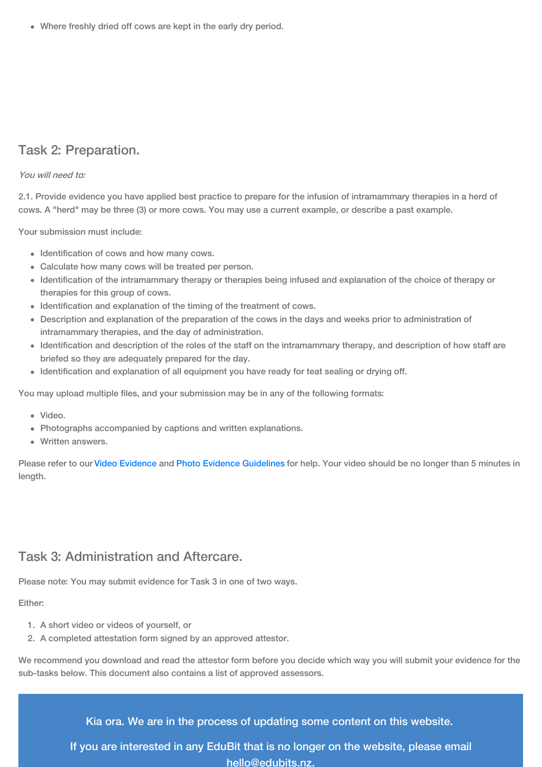Where freshly dried off cows are kept in the early dry period.

### Task 2: Preparation.

#### You will need to:

2.1. Provide evidence you have applied best practice to prepare for the infusion of intramammary therapies in a herd of cows. A "herd" may be three (3) or more cows. You may use a current example, or describe a past example.

Your submission must include:

- Identification of cows and how many cows.
- Calculate how many cows will be treated per person.
- Identification of the intramammary therapy or therapies being infused and explanation of the choice of therapy or therapies for this group of cows.
- Identification and explanation of the timing of the treatment of cows.
- Description and explanation of the preparation of the cows in the days and weeks prior to administration of intramammary therapies, and the day of administration.
- Identification and description of the roles of the staff on the intramammary therapy, and description of how staff are briefed so they are adequately prepared for the day.
- Identification and explanation of all equipment you have ready for teat sealing or drying off.

You may upload multiple files, and your submission may be in any of the following formats:

- Video.
- Photographs accompanied by captions and written explanations.
- Written answers.

Please refer to our Video [Evidence](https://edubits.nz/help/evidence-guidelines#videos) and Photo Evidence [Guidelines](https://edubits.nz/help/evidence-guidelines#photos) for help. Your video should be no longer than 5 minutes in length.

### Task 3: Administration and Aftercare.

Please note: You may submit evidence for Task 3 in one of two ways.

### Either:

- 1. A short video or videos of yourself, or
- 2. A completed attestation form signed by an approved attestor.

We recommend you download and read the attestor form before you decide which way you will submit your evidence for the sub-tasks below. This document also contains a list of approved assessors.

Kia ora. We are in the process of updating some content on this website.

If you are interested in any EduBit [that](mailto:hello@edubits.nz) is no longer on the website, please email hello@edubits.nz.